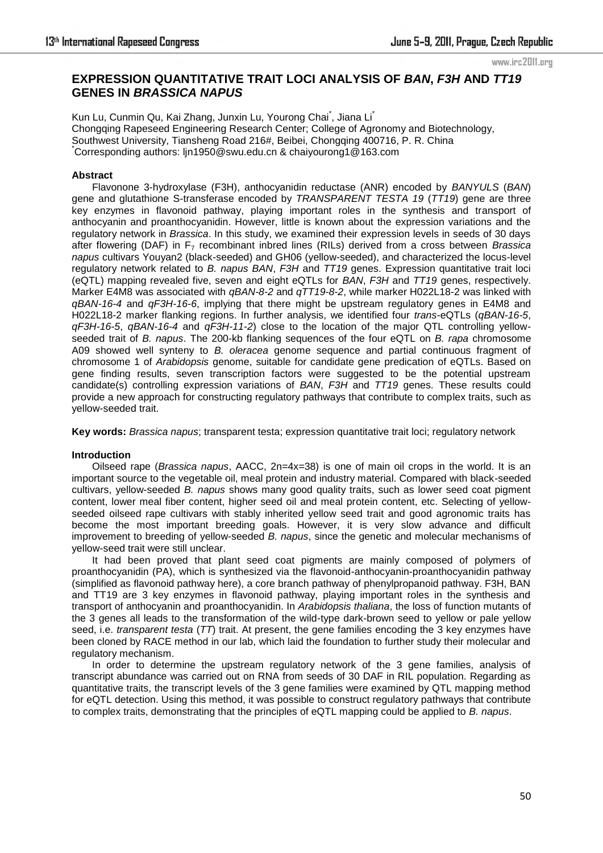www.irc2011.org

# **EXPRESSION QUANTITATIVE TRAIT LOCI ANALYSIS OF** *BAN***,** *F3H* **AND** *TT19* **GENES IN** *BRASSICA NAPUS*

Kun Lu, Cunmin Qu, Kai Zhang, Junxin Lu, Yourong Chai<sup>\*</sup>, Jiana Li<sup>\*</sup> Chongqing Rapeseed Engineering Research Center; College of Agronomy and Biotechnology, Southwest University, Tiansheng Road 216#, Beibei, Chongqing 400716, P. R. China \*Corresponding authors: ljn1950@swu.edu.cn & chaiyourong1@163.com

# **Abstract**

Flavonone 3-hydroxylase (F3H), anthocyanidin reductase (ANR) encoded by *BANYULS* (*BAN*) gene and glutathione S-transferase encoded by *TRANSPARENT TESTA 19* (*TT19*) gene are three key enzymes in flavonoid pathway, playing important roles in the synthesis and transport of anthocyanin and proanthocyanidin. However, little is known about the expression variations and the regulatory network in *Brassica*. In this study, we examined their expression levels in seeds of 30 days after flowering (DAF) in F7 recombinant inbred lines (RILs) derived from a cross between *Brassica napus* cultivars Youyan2 (black-seeded) and GH06 (yellow-seeded), and characterized the locus-level regulatory network related to *B. napus BAN*, *F3H* and *TT19* genes. Expression quantitative trait loci (eQTL) mapping revealed five, seven and eight eQTLs for *BAN*, *F3H* and *TT19* genes, respectively. Marker E4M8 was associated with *qBAN-8-2* and *qTT19-8-2*, while marker H022L18-2 was linked with *qBAN-16-4* and *qF3H-16-6*, implying that there might be upstream regulatory genes in E4M8 and H022L18-2 marker flanking regions. In further analysis, we identified four *trans*-eQTLs (*qBAN-16-5*, *qF3H-16-5*, *qBAN-16-4* and *qF3H-11-2*) close to the location of the major QTL controlling yellowseeded trait of *B. napus*. The 200-kb flanking sequences of the four eQTL on *B. rapa* chromosome A09 showed well synteny to *B. oleracea* genome sequence and partial continuous fragment of chromosome 1 of *Arabidopsis* genome, suitable for candidate gene predication of eQTLs. Based on gene finding results, seven transcription factors were suggested to be the potential upstream candidate(s) controlling expression variations of *BAN*, *F3H* and *TT19* genes. These results could provide a new approach for constructing regulatory pathways that contribute to complex traits, such as yellow-seeded trait.

**Key words:** *Brassica napus*; transparent testa; expression quantitative trait loci; regulatory network

# **Introduction**

Oilseed rape (*Brassica napus*, AACC, 2n=4x=38) is one of main oil crops in the world. It is an important source to the vegetable oil, meal protein and industry material. Compared with black-seeded cultivars, yellow-seeded *B. napus* shows many good quality traits, such as lower seed coat pigment content, lower meal fiber content, higher seed oil and meal protein content, etc. Selecting of yellowseeded oilseed rape cultivars with stably inherited yellow seed trait and good agronomic traits has become the most important breeding goals. However, it is very slow advance and difficult improvement to breeding of yellow-seeded *B. napus*, since the genetic and molecular mechanisms of yellow-seed trait were still unclear.

It had been proved that plant seed coat pigments are mainly composed of polymers of proanthocyanidin (PA), which is synthesized via the flavonoid-anthocyanin-proanthocyanidin pathway (simplified as flavonoid pathway here), a core branch pathway of phenylpropanoid pathway. F3H, BAN and TT19 are 3 key enzymes in flavonoid pathway, playing important roles in the synthesis and transport of anthocyanin and proanthocyanidin. In *Arabidopsis thaliana*, the loss of function mutants of the 3 genes all leads to the transformation of the wild-type dark-brown seed to yellow or pale yellow seed, i.e. *transparent testa* (*TT*) trait. At present, the gene families encoding the 3 key enzymes have been cloned by RACE method in our lab, which laid the foundation to further study their molecular and regulatory mechanism.

In order to determine the upstream regulatory network of the 3 gene families, analysis of transcript abundance was carried out on RNA from seeds of 30 DAF in RIL population. Regarding as quantitative traits, the transcript levels of the 3 gene families were examined by QTL mapping method for eQTL detection. Using this method, it was possible to construct regulatory pathways that contribute to complex traits, demonstrating that the principles of eQTL mapping could be applied to *B. napus*.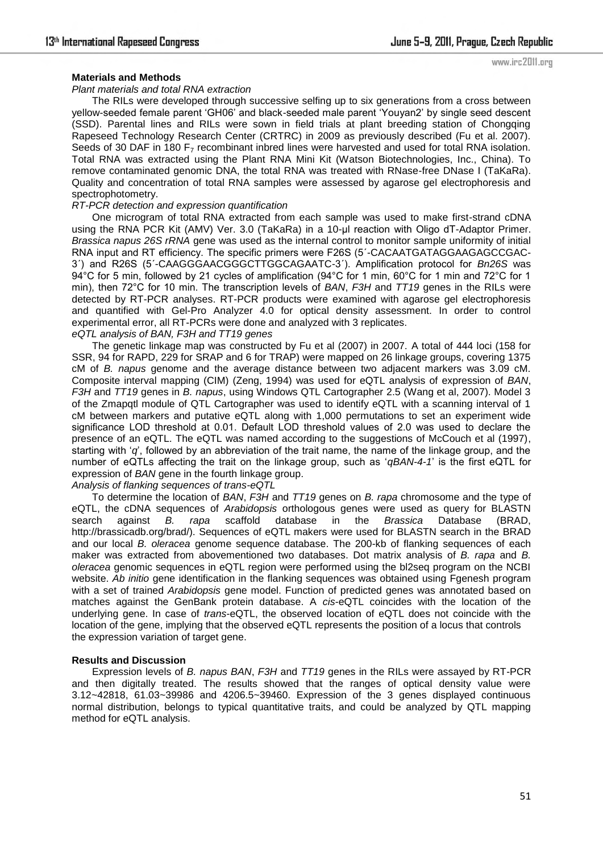www.irc2011.org

### **Materials and Methods**

### *Plant materials and total RNA extraction*

The RILs were developed through successive selfing up to six generations from a cross between yellow-seeded female parent "GH06" and black-seeded male parent "Youyan2" by single seed descent (SSD). Parental lines and RILs were sown in field trials at plant breeding station of Chongqing Rapeseed Technology Research Center (CRTRC) in 2009 as previously described (Fu et al. 2007). Seeds of 30 DAF in 180  $F<sub>7</sub>$  recombinant inbred lines were harvested and used for total RNA isolation. Total RNA was extracted using the Plant RNA Mini Kit (Watson Biotechnologies, Inc., China). To remove contaminated genomic DNA, the total RNA was treated with RNase-free DNase I (TaKaRa). Quality and concentration of total RNA samples were assessed by agarose gel electrophoresis and spectrophotometry.

#### *RT-PCR detection and expression quantification*

One microgram of total RNA extracted from each sample was used to make first-strand cDNA using the RNA PCR Kit (AMV) Ver. 3.0 (TaKaRa) in a 10-ul reaction with Oligo dT-Adaptor Primer. *Brassica napus 26S rRNA* gene was used as the internal control to monitor sample uniformity of initial RNA input and RT efficiency. The specific primers were F26S (5´-CACAATGATAGGAAGAGCCGAC-3´) and R26S (5´-CAAGGGAACGGGCTTGGCAGAATC-3´). Amplification protocol for *Bn26S* was 94°C for 5 min, followed by 21 cycles of amplification (94°C for 1 min, 60°C for 1 min and 72°C for 1 min), then 72°C for 10 min. The transcription levels of *BAN*, *F3H* and *TT19* genes in the RILs were detected by RT-PCR analyses. RT-PCR products were examined with agarose gel electrophoresis and quantified with Gel-Pro Analyzer 4.0 for optical density assessment. In order to control experimental error, all RT-PCRs were done and analyzed with 3 replicates. *eQTL analysis of BAN, F3H and TT19 genes* 

The genetic linkage map was constructed by Fu et al (2007) in 2007. A total of 444 loci (158 for SSR, 94 for RAPD, 229 for SRAP and 6 for TRAP) were mapped on 26 linkage groups, covering 1375 cM of *B. napus* genome and the average distance between two adjacent markers was 3.09 cM. Composite interval mapping (CIM) (Zeng, 1994) was used for eQTL analysis of expression of *BAN*, *F3H* and *TT19* genes in *B. napus*, using Windows QTL Cartographer 2.5 (Wang et al, 2007). Model 3 of the Zmapqtl module of QTL Cartographer was used to identify eQTL with a scanning interval of 1 cM between markers and putative eQTL along with 1,000 permutations to set an experiment wide significance LOD threshold at 0.01. Default LOD threshold values of 2.0 was used to declare the presence of an eQTL. The eQTL was named according to the suggestions of McCouch et al (1997), starting with "*q*", followed by an abbreviation of the trait name, the name of the linkage group, and the number of eQTLs affecting the trait on the linkage group, such as "*qBAN-4-1*" is the first eQTL for expression of *BAN* gene in the fourth linkage group.

*Analysis of flanking sequences of trans-eQTL* 

To determine the location of *BAN*, *F3H* and *TT19* genes on *B. rapa* chromosome and the type of eQTL, the cDNA sequences of *Arabidopsis* orthologous genes were used as query for BLASTN search against *B. rapa* scaffold database in the *Brassica* Database (BRAD, http://brassicadb.org/brad/). Sequences of eQTL makers were used for BLASTN search in the BRAD and our local *B. oleracea* genome sequence database. The 200-kb of flanking sequences of each maker was extracted from abovementioned two databases. Dot matrix analysis of *B. rapa* and *B. oleracea* genomic sequences in eQTL region were performed using the bl2seq program on the NCBI website. *Ab initio* gene identification in the flanking sequences was obtained using Fgenesh program with a set of trained *Arabidopsis* gene model. Function of predicted genes was annotated based on matches against the GenBank protein database. A *cis*-eQTL coincides with the location of the underlying gene. In case of *trans*-eQTL, the observed location of eQTL does not coincide with the location of the gene, implying that the observed eQTL represents the position of a locus that controls the expression variation of target gene.

# **Results and Discussion**

Expression levels of *B. napus BAN*, *F3H* and *TT19* genes in the RILs were assayed by RT-PCR and then digitally treated. The results showed that the ranges of optical density value were 3.12~42818, 61.03~39986 and 4206.5~39460. Expression of the 3 genes displayed continuous normal distribution, belongs to typical quantitative traits, and could be analyzed by QTL mapping method for eQTL analysis.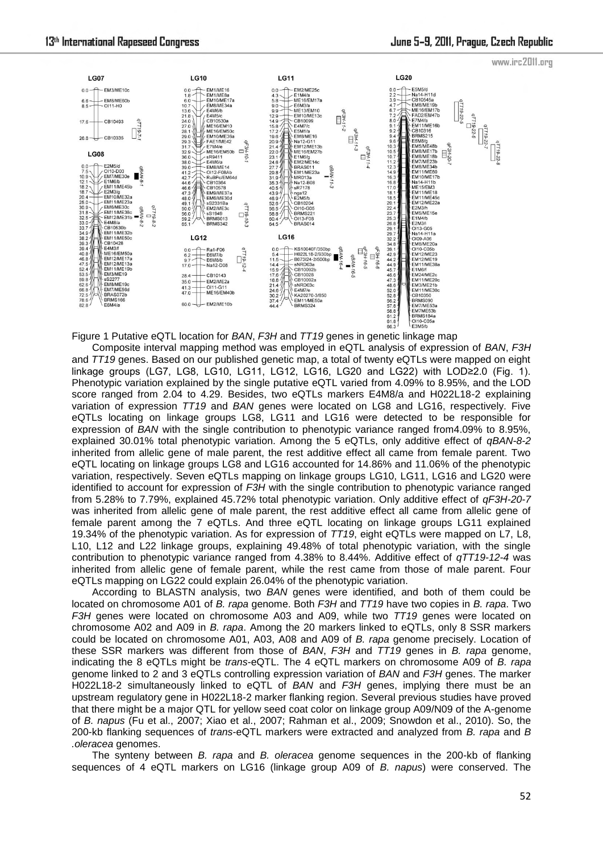

Figure 1 Putative eQTL location for *BAN*, *F3H* and *TT19* genes in genetic linkage map

Composite interval mapping method was employed in eQTL analysis of expression of *BAN*, *F3H* and *TT19* genes. Based on our published genetic map, a total of twenty eQTLs were mapped on eight linkage groups (LG7, LG8, LG10, LG11, LG12, LG16, LG20 and LG22) with LOD≥2.0 (Fig. 1). Phenotypic variation explained by the single putative eQTL varied from 4.09% to 8.95%, and the LOD score ranged from 2.04 to 4.29. Besides, two eQTLs markers E4M8/a and H022L18-2 explaining variation of expression *TT19* and *BAN* genes were located on LG8 and LG16, respectively. Five eQTLs locating on linkage groups LG8, LG11 and LG16 were detected to be responsible for expression of *BAN* with the single contribution to phenotypic variance ranged from4.09% to 8.95%, explained 30.01% total phenotypic variation. Among the 5 eQTLs, only additive effect of *qBAN-8-2* inherited from allelic gene of male parent, the rest additive effect all came from female parent. Two eQTL locating on linkage groups LG8 and LG16 accounted for 14.86% and 11.06% of the phenotypic variation, respectively. Seven eQTLs mapping on linkage groups LG10, LG11, LG16 and LG20 were identified to account for expression of *F3H* with the single contribution to phenotypic variance ranged from 5.28% to 7.79%, explained 45.72% total phenotypic variation. Only additive effect of *qF3H-20-7* was inherited from allelic gene of male parent, the rest additive effect all came from allelic gene of female parent among the 7 eQTLs. And three eQTL locating on linkage groups LG11 explained 19.34% of the phenotypic variation. As for expression of *TT19*, eight eQTLs were mapped on L7, L8, L10, L12 and L22 linkage groups, explaining 49.48% of total phenotypic variation, with the single contribution to phenotypic variance ranged from 4.38% to 8.44%. Additive effect of *qTT19-12-4* was inherited from allelic gene of female parent, while the rest came from those of male parent. Four eQTLs mapping on LG22 could explain 26.04% of the phenotypic variation.

According to BLASTN analysis, two *BAN* genes were identified, and both of them could be located on chromosome A01 of *B. rapa* genome. Both *F3H* and *TT19* have two copies in *B. rapa*. Two *F3H* genes were located on chromosome A03 and A09, while two *TT19* genes were located on chromosome A02 and A09 in *B. rapa*. Among the 20 markers linked to eQTLs, only 8 SSR markers could be located on chromosome A01, A03, A08 and A09 of *B. rapa* genome precisely. Location of these SSR markers was different from those of *BAN*, *F3H* and *TT19* genes in *B. rapa* genome, indicating the 8 eQTLs might be *trans*-eQTL. The 4 eQTL markers on chromosome A09 of *B. rapa* genome linked to 2 and 3 eQTLs controlling expression variation of *BAN* and *F3H* genes. The marker H022L18-2 simultaneously linked to eQTL of *BAN* and *F3H* genes, implying there must be an upstream regulatory gene in H022L18-2 marker flanking region. Several previous studies have proved that there might be a major QTL for yellow seed coat color on linkage group A09/N09 of the A-genome of *B. napus* (Fu et al., 2007; Xiao et al., 2007; Rahman et al., 2009; Snowdon et al., 2010). So, the 200-kb flanking sequences of *trans*-eQTL markers were extracted and analyzed from *B. rapa* and *B .oleracea* genomes.

The synteny between *B. rapa* and *B. oleracea* genome sequences in the 200-kb of flanking sequences of 4 eQTL markers on LG16 (linkage group A09 of *B. napus*) were conserved. The